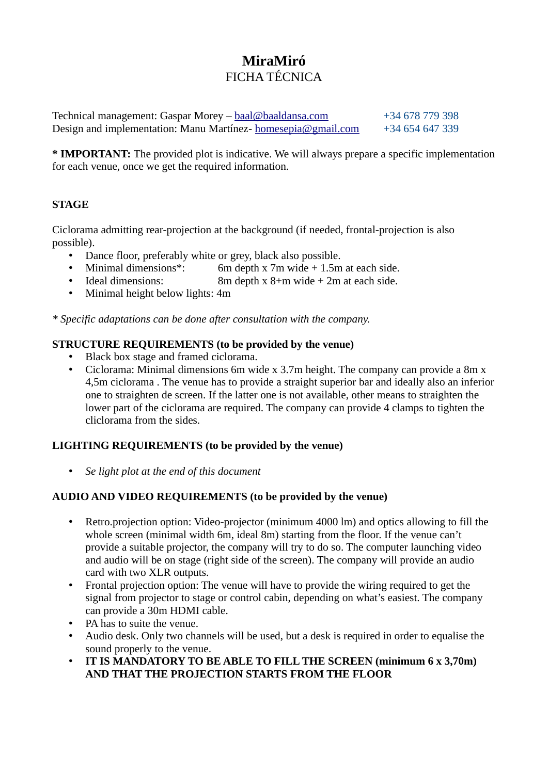# **MiraMiró** FICHA TÉCNICA

Technical management: Gaspar Morey – [baal@baaldansa.com](mailto:baal@baaldansa.com) +34 678 779 398 Design and implementation: Manu Martínez- [homesepia@gmail.com](mailto:homesepia@gmail.com) +34 654 647 339

**\* IMPORTANT:** The provided plot is indicative. We will always prepare a specific implementation for each venue, once we get the required information.

## **STAGE**

Ciclorama admitting rear-projection at the background (if needed, frontal-projection is also possible).

- Dance floor, preferably white or grey, black also possible.<br>• Minimal dimensions\*: 6m depth x 7m wide + 1.5m
- 6m depth x 7m wide  $+$  1.5m at each side.
- Ideal dimensions: 8m depth x 8+m wide + 2m at each side.
- Minimal height below lights: 4m

*\* Specific adaptations can be done after consultation with the company.*

#### **STRUCTURE REQUIREMENTS (to be provided by the venue)**

- Black box stage and framed ciclorama.
- Ciclorama: Minimal dimensions 6m wide x 3.7m height. The company can provide a 8m x 4,5m ciclorama . The venue has to provide a straight superior bar and ideally also an inferior one to straighten de screen. If the latter one is not available, other means to straighten the lower part of the ciclorama are required. The company can provide 4 clamps to tighten the cliclorama from the sides.

### **LIGHTING REQUIREMENTS (to be provided by the venue)**

• *Se light plot at the end of this document*

#### **AUDIO AND VIDEO REQUIREMENTS (to be provided by the venue)**

- Retro.projection option: Video-projector (minimum 4000 lm) and optics allowing to fill the whole screen (minimal width 6m, ideal 8m) starting from the floor. If the venue can't provide a suitable projector, the company will try to do so. The computer launching video and audio will be on stage (right side of the screen). The company will provide an audio card with two XLR outputs.
- Frontal projection option: The venue will have to provide the wiring required to get the signal from projector to stage or control cabin, depending on what's easiest. The company can provide a 30m HDMI cable.
- PA has to suite the venue.
- Audio desk. Only two channels will be used, but a desk is required in order to equalise the sound properly to the venue.
- **IT IS MANDATORY TO BE ABLE TO FILL THE SCREEN (minimum 6 x 3,70m) AND THAT THE PROJECTION STARTS FROM THE FLOOR**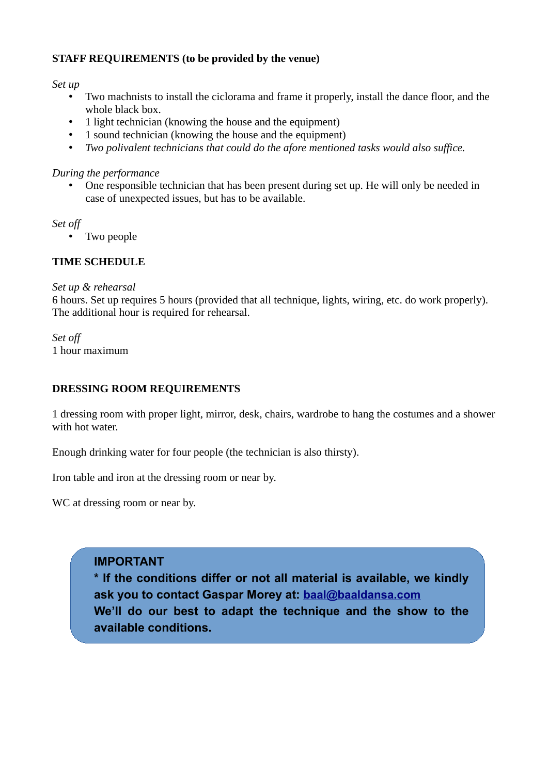#### **STAFF REQUIREMENTS (to be provided by the venue)**

*Set up*

- Two machnists to install the ciclorama and frame it properly, install the dance floor, and the whole black box.
- 1 light technician (knowing the house and the equipment)
- 1 sound technician (knowing the house and the equipment)<br>• Two polivalent technicians that could do the afore mentione
- *Two polivalent technicians that could do the afore mentioned tasks would also suffice.*

#### *During the performance*

• One responsible technician that has been present during set up. He will only be needed in case of unexpected issues, but has to be available.

*Set off*

• Two people

#### **TIME SCHEDULE**

#### *Set up & rehearsal*

6 hours. Set up requires 5 hours (provided that all technique, lights, wiring, etc. do work properly). The additional hour is required for rehearsal.

*Set off* 1 hour maximum

#### **DRESSING ROOM REQUIREMENTS**

1 dressing room with proper light, mirror, desk, chairs, wardrobe to hang the costumes and a shower with hot water

Enough drinking water for four people (the technician is also thirsty).

Iron table and iron at the dressing room or near by.

WC at dressing room or near by.

## **IMPORTANT**

**\* If the conditions differ or not all material is available, we kindly ask you to contact Gaspar Morey at: [baal@baaldansa.com](mailto:baal@baaldansa.com?subject=Caracter%C3%ADsticas%20t%C3%A9cnicas%20de%20nuestro%20espacio) We'll do our best to adapt the technique and the show to the available conditions.**